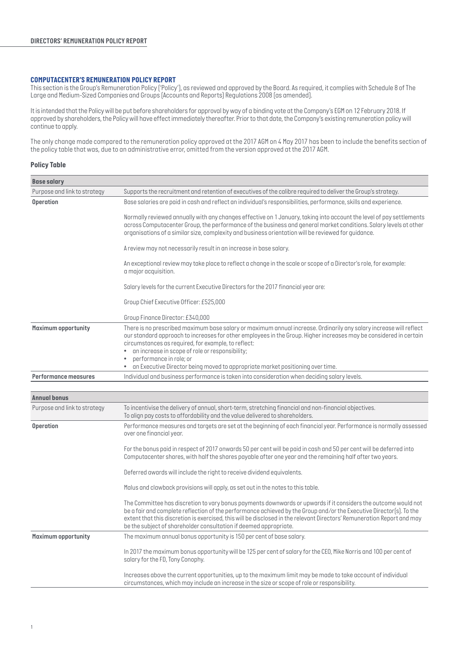## *COMPUTACENTER'S REMUNERATION POLICY REPORT*

*This section is the Group's Remuneration Policy ('Policy'), as reviewed and approved by the Board. As required, it complies with Schedule 8 of The Large and Medium-Sized Companies and Groups (Accounts and Reports) Regulations 2008 (as amended).*

It is intended that the Policy will be put before shareholders for approval by way of a binding vote at the Company's EGM on 12 February 2018. If *approved by shareholders, the Policy will have effect immediately thereafter. Prior to that date, the Company's existing remuneration policy will continue to apply.*

*The only change made compared to the remuneration policy approved at the 2017 AGM on 4 May 2017 has been to include the benefits section of the policy table that was, due to an administrative error, omitted from the version approved at the 2017 AGM.*

## *Policy Table*

| <b>Base salary</b>           |                                                                                                                                                                                                                                                                                                                                                                                                                                                                              |
|------------------------------|------------------------------------------------------------------------------------------------------------------------------------------------------------------------------------------------------------------------------------------------------------------------------------------------------------------------------------------------------------------------------------------------------------------------------------------------------------------------------|
| Purpose and link to strategy | Supports the recruitment and retention of executives of the calibre required to deliver the Group's strategy.                                                                                                                                                                                                                                                                                                                                                                |
| <b>Operation</b>             | Base salaries are paid in cash and reflect an individual's responsibilities, performance, skills and experience.                                                                                                                                                                                                                                                                                                                                                             |
|                              | Normally reviewed annually with any changes effective on 1 January, taking into account the level of pay settlements<br>across Computacenter Group, the performance of the business and general market conditions. Salary levels at other<br>organisations of a similar size, complexity and business orientation will be reviewed for quidance.                                                                                                                             |
|                              | A review may not necessarily result in an increase in base salary.                                                                                                                                                                                                                                                                                                                                                                                                           |
|                              | An exceptional review may take place to reflect a change in the scale or scope of a Director's role, for example:<br>a major acquisition.                                                                                                                                                                                                                                                                                                                                    |
|                              | Salary levels for the current Executive Directors for the 2017 financial year are:                                                                                                                                                                                                                                                                                                                                                                                           |
|                              | Group Chief Executive Officer: £525,000                                                                                                                                                                                                                                                                                                                                                                                                                                      |
|                              | Group Finance Director: £340,000                                                                                                                                                                                                                                                                                                                                                                                                                                             |
| <b>Maximum opportunity</b>   | There is no prescribed maximum base salary or maximum annual increase. Ordinarily any salary increase will reflect<br>our standard approach to increases for other employees in the Group. Higher increases may be considered in certain<br>circumstances as required, for example, to reflect:<br>an increase in scope of role or responsibility;<br>$\bullet$<br>performance in role; or<br>an Executive Director being moved to appropriate market positioning over time. |
| Performance measures         | Individual and business performance is taken into consideration when deciding salary levels.                                                                                                                                                                                                                                                                                                                                                                                 |
|                              |                                                                                                                                                                                                                                                                                                                                                                                                                                                                              |
| <b>Annual bonus</b>          |                                                                                                                                                                                                                                                                                                                                                                                                                                                                              |
| Purpose and link to strategy | To incentivise the delivery of annual, short-term, stretching financial and non-financial objectives.<br>To align pay costs to affordability and the value delivered to shareholders.                                                                                                                                                                                                                                                                                        |
| <b>Operation</b>             | Performance measures and targets are set at the beginning of each financial year. Performance is normally assessed<br>over one financial year.                                                                                                                                                                                                                                                                                                                               |
|                              | For the bonus paid in respect of 2017 onwards 50 per cent will be paid in cash and 50 per cent will be deferred into<br>Computacenter shares, with half the shares payable after one year and the remaining half after two years.                                                                                                                                                                                                                                            |
|                              | Deferred awards will include the right to receive dividend equivalents.                                                                                                                                                                                                                                                                                                                                                                                                      |
|                              | Malus and clawback provisions will apply, as set out in the notes to this table.                                                                                                                                                                                                                                                                                                                                                                                             |
|                              | The Committee has discretion to vary bonus payments downwards or upwards if it considers the outcome would not<br>be a fair and complete reflection of the performance achieved by the Group and/or the Executive Director(s). To the<br>extent that this discretion is exercised, this will be disclosed in the relevant Directors' Remuneration Report and may<br>be the subject of shareholder consultation if deemed appropriate.                                        |
| Maximum opportunity          | The maximum annual bonus opportunity is 150 per cent of base salary.                                                                                                                                                                                                                                                                                                                                                                                                         |
|                              | In 2017 the maximum bonus opportunity will be 125 per cent of salary for the CEO, Mike Norris and 100 per cent of<br>salary for the FD, Tony Conophy.                                                                                                                                                                                                                                                                                                                        |
|                              | Increases above the current opportunities, up to the maximum limit may be made to take account of individual<br>circumstances, which may include an increase in the size or scope of role or responsibility.                                                                                                                                                                                                                                                                 |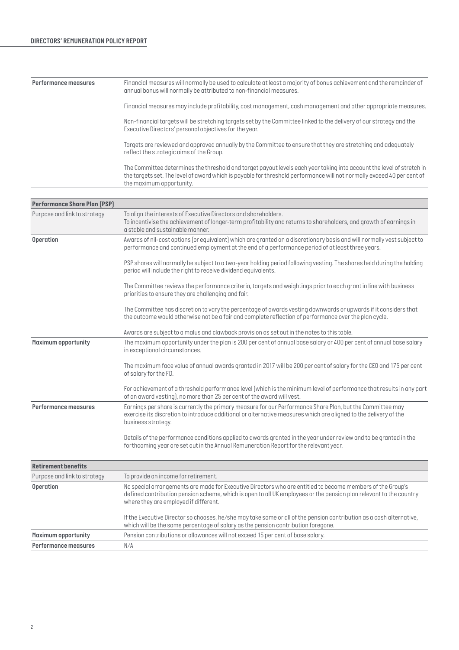# *DIRECTORS' REMUNERATION POLICY REPORT*

| Performance measures | Financial measures will normally be used to calculate at least a majority of bonus achievement and the remainder of<br>annual bonus will normally be attributed to non-financial measures.                                                                                  |
|----------------------|-----------------------------------------------------------------------------------------------------------------------------------------------------------------------------------------------------------------------------------------------------------------------------|
|                      | Financial measures may include profitability, cost management, cash management and other appropriate measures.                                                                                                                                                              |
|                      | Non-financial targets will be stretching targets set by the Committee linked to the delivery of our strategy and the<br>Executive Directors' personal objectives for the year.                                                                                              |
|                      | Targets are reviewed and approved annually by the Committee to ensure that they are stretching and adequately<br>reflect the strategic aims of the Group.                                                                                                                   |
|                      | The Committee determines the threshold and target payout levels each year taking into account the level of stretch in<br>the targets set. The level of award which is payable for threshold performance will not normally exceed 40 per cent of<br>the maximum opportunity. |
|                      |                                                                                                                                                                                                                                                                             |

| <b>Performance Share Plan (PSP)</b> |                                                                                                                                                                                                                                                                           |
|-------------------------------------|---------------------------------------------------------------------------------------------------------------------------------------------------------------------------------------------------------------------------------------------------------------------------|
| Purpose and link to strategy        | To align the interests of Executive Directors and shareholders.<br>To incentivise the achievement of longer-term profitability and returns to shareholders, and growth of earnings in<br>a stable and sustainable manner.                                                 |
| <b>Operation</b>                    | Awards of nil-cost options (or equivalent) which are granted on a discretionary basis and will normally vest subject to<br>performance and continued employment at the end of a performance period of at least three years.                                               |
|                                     | PSP shares will normally be subject to a two-year holding period following vesting. The shares held during the holding<br>period will include the right to receive dividend equivalents.                                                                                  |
|                                     | The Committee reviews the performance criteria, targets and weightings prior to each grant in line with business<br>priorities to ensure they are challenging and fair.                                                                                                   |
|                                     | The Committee has discretion to vary the percentage of awards vesting downwards or upwards if it considers that<br>the outcome would otherwise not be a fair and complete reflection of performance over the plan cycle.                                                  |
|                                     | Awards are subject to a malus and clawback provision as set out in the notes to this table.                                                                                                                                                                               |
| Maximum opportunity                 | The maximum opportunity under the plan is 200 per cent of annual base salary or 400 per cent of annual base salary<br>in exceptional circumstances.                                                                                                                       |
|                                     | The maximum face value of annual awards granted in 2017 will be 200 per cent of salary for the CEO and 175 per cent<br>of salary for the FD.                                                                                                                              |
|                                     | For achievement of a threshold performance level (which is the minimum level of performance that results in any part<br>of an award vesting), no more than 25 per cent of the award will vest.                                                                            |
| Performance measures                | Earnings per share is currently the primary measure for our Performance Share Plan, but the Committee may<br>exercise its discretion to introduce additional or alternative measures which are aligned to the delivery of the<br>business strategy.                       |
|                                     | Details of the performance conditions applied to awards granted in the year under review and to be granted in the<br>forthcoming year are set out in the Annual Remuneration Report for the relevant year.                                                                |
|                                     |                                                                                                                                                                                                                                                                           |
| <b>Retirement benefits</b>          |                                                                                                                                                                                                                                                                           |
| Purpose and link to strategy        | To provide an income for retirement.                                                                                                                                                                                                                                      |
| <b>Operation</b>                    | No special arrangements are made for Executive Directors who are entitled to become members of the Group's<br>defined contribution pension scheme, which is open to all UK employees or the pension plan relevant to the country<br>where they are employed if different. |
|                                     | If the Executive Director so chooses, he/she may take some or all of the pension contribution as a cash alternative,<br>which will be the same percentage of salary as the pension contribution foregone.                                                                 |
| Maximum opportunity                 | Pension contributions or allowances will not exceed 15 per cent of base salary.                                                                                                                                                                                           |
| Performance measures                | N/A                                                                                                                                                                                                                                                                       |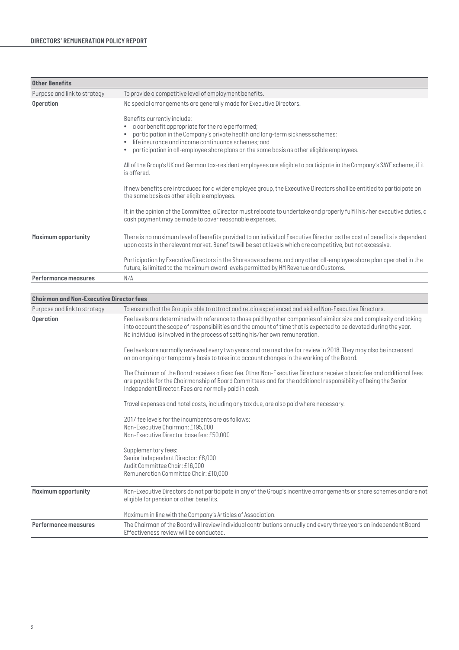# *DIRECTORS' REMUNERATION POLICY REPORT*

| <b>Other Benefits</b>        |                                                                                                                                                                                                                                                                                                                     |
|------------------------------|---------------------------------------------------------------------------------------------------------------------------------------------------------------------------------------------------------------------------------------------------------------------------------------------------------------------|
| Purpose and link to strategy | To provide a competitive level of employment benefits.                                                                                                                                                                                                                                                              |
| <b>Operation</b>             | No special arrangements are generally made for Executive Directors.                                                                                                                                                                                                                                                 |
|                              | Benefits currently include:<br>a car benefit appropriate for the role performed;<br>participation in the Company's private health and long-term sickness schemes;<br>life insurance and income continuance schemes; and<br>participation in all-employee share plans on the same basis as other eligible employees. |
|                              | All of the Group's UK and German tax-resident employees are eligible to participate in the Company's SAYE scheme, if it<br>is offered.                                                                                                                                                                              |
|                              | If new benefits are introduced for a wider employee group, the Executive Directors shall be entitled to participate on<br>the same basis as other eligible employees.                                                                                                                                               |
|                              | If, in the opinion of the Committee, a Director must relocate to undertake and properly fulfil his/her executive duties, a<br>cash payment may be made to cover reasonable expenses.                                                                                                                                |
| Maximum opportunity          | There is no maximum level of benefits provided to an individual Executive Director as the cost of benefits is dependent<br>upon costs in the relevant market. Benefits will be set at levels which are competitive, but not excessive.                                                                              |
|                              | Participation by Executive Directors in the Sharesave scheme, and any other all-employee share plan operated in the<br>future, is limited to the maximum award levels permitted by HM Revenue and Customs.                                                                                                          |
| Performance measures         | N/A                                                                                                                                                                                                                                                                                                                 |

| <b>Chairman and Non-Executive Director fees</b> |                                                                                                                                                                                                                                                                                                                           |  |
|-------------------------------------------------|---------------------------------------------------------------------------------------------------------------------------------------------------------------------------------------------------------------------------------------------------------------------------------------------------------------------------|--|
| Purpose and link to strategy                    | To ensure that the Group is able to attract and retain experienced and skilled Non-Executive Directors.                                                                                                                                                                                                                   |  |
| <b>Operation</b>                                | Fee levels are determined with reference to those paid by other companies of similar size and complexity and taking<br>into account the scope of responsibilities and the amount of time that is expected to be devoted during the year.<br>No individual is involved in the process of setting his/her own remuneration. |  |
|                                                 | Fee levels are normally reviewed every two years and are next due for review in 2018. They may also be increased<br>on an ongoing or temporary basis to take into account changes in the working of the Board.                                                                                                            |  |
|                                                 | The Chairman of the Board receives a fixed fee. Other Non-Executive Directors receive a basic fee and additional fees<br>are payable for the Chairmanship of Board Committees and for the additional responsibility of being the Senior<br>Independent Director. Fees are normally paid in cash.                          |  |
|                                                 | Travel expenses and hotel costs, including any tax due, are also paid where necessary.                                                                                                                                                                                                                                    |  |
|                                                 | 2017 fee levels for the incumbents are as follows:<br>Non-Executive Chairman: £195,000<br>Non-Executive Director base fee: £50,000                                                                                                                                                                                        |  |
|                                                 | Supplementary fees:<br>Senior Independent Director: £6,000<br>Audit Committee Chair: £16,000<br>Remuneration Committee Chair: £10,000                                                                                                                                                                                     |  |
| Maximum opportunity                             | Non-Executive Directors do not participate in any of the Group's incentive arrangements or share schemes and are not<br>eligible for pension or other benefits.                                                                                                                                                           |  |
|                                                 | Maximum in line with the Company's Articles of Association.                                                                                                                                                                                                                                                               |  |
| Performance measures                            | The Chairman of the Board will review individual contributions annually and every three years an independent Board<br>Effectiveness review will be conducted.                                                                                                                                                             |  |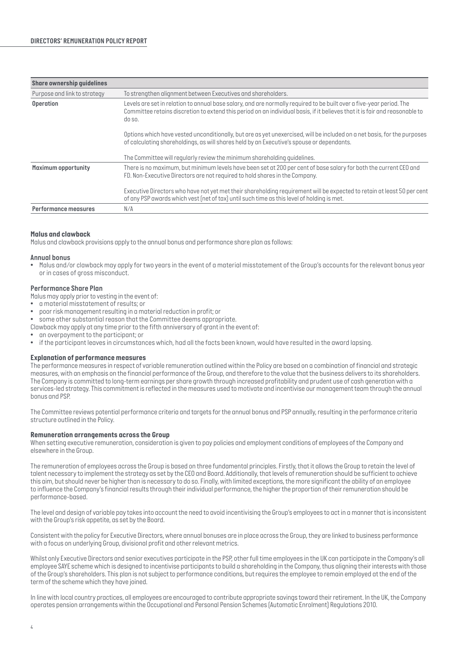| <b>Share ownership quidelines</b> |                                                                                                                                                                                                                                                               |
|-----------------------------------|---------------------------------------------------------------------------------------------------------------------------------------------------------------------------------------------------------------------------------------------------------------|
| Purpose and link to strategy      | To strengthen alignment between Executives and shareholders.                                                                                                                                                                                                  |
| <b>Operation</b>                  | Levels are set in relation to annual base salary, and are normally required to be built over a five-year period. The<br>Committee retains discretion to extend this period on an individual basis, if it believes that it is fair and reasonable to<br>do so. |
|                                   | Options which have vested unconditionally, but are as yet unexercised, will be included on a net basis, for the purposes<br>of calculating shareholdings, as will shares held by an Executive's spouse or dependants.                                         |
|                                   | The Committee will regularly review the minimum shareholding quidelines.                                                                                                                                                                                      |
| Maximum opportunity               | There is no maximum, but minimum levels have been set at 200 per cent of base salary for both the current CEO and<br>FD. Non-Executive Directors are not required to hold shares in the Company.                                                              |
|                                   | Executive Directors who have not yet met their shareholding requirement will be expected to retain at least 50 per cent<br>of any PSP awards which vest (net of tax) until such time as this level of holding is met.                                         |
| Performance measures              | N/A                                                                                                                                                                                                                                                           |

#### *Malus and clawback*

*Malus and clawback provisions apply to the annual bonus and performance share plan as follows:*

#### *Annual bonus*

*• Malus and/or clawback may apply for two years in the event of a material misstatement of the Group's accounts for the relevant bonus year or in cases of gross misconduct.*

#### *Performance Share Plan*

- *Malus may apply prior to vesting in the event of:*
- *• a material misstatement of results; or*
- *• poor risk management resulting in a material reduction in profit; or*
- *• some other substantial reason that the Committee deems appropriate.*
- *Clawback may apply at any time prior to the fifth anniversary of grant in the event of:*
- *• an overpayment to the participant; or*
- *• if the participant leaves in circumstances which, had all the facts been known, would have resulted in the award lapsing.*

### *Explanation of performance measures*

*The performance measures in respect of variable remuneration outlined within the Policy are based on a combination of financial and strategic measures, with an emphasis on the financial performance of the Group, and therefore to the value that the business delivers to its shareholders. The Company is committed to long-term earnings per share growth through increased profitability and prudent use of cash generation with a*  services-led strategy. This commitment is reflected in the measures used to motivate and incentivise our management team through the annual *bonus and PSP.*

*The Committee reviews potential performance criteria and targets for the annual bonus and PSP annually, resulting in the performance criteria structure outlined in the Policy.* 

#### *Remuneration arrangements across the Group*

*When setting executive remuneration, consideration is given to pay policies and employment conditions of employees of the Company and elsewhere in the Group.* 

The remuneration of employees across the Group is based on three fundamental principles. Firstly, that it allows the Group to retain the level of *talent necessary to implement the strategy as set by the CEO and Board. Additionally, that levels of remuneration should be sufficient to achieve this aim, but should never be higher than is necessary to do so. Finally, with limited exceptions, the more significant the ability of an employee to influence the Company's financial results through their individual performance, the higher the proportion of their remuneration should be performance-based.* 

The level and design of variable pay takes into account the need to avoid incentivising the Group's employees to act in a manner that is inconsistent *with the Group's risk appetite, as set by the Board.*

*Consistent with the policy for Executive Directors, where annual bonuses are in place across the Group, they are linked to business performance with a focus on underlying Group, divisional profit and other relevant metrics.*

*Whilst only Executive Directors and senior executives participate in the PSP, other full time employees in the UK can participate in the Company's all employee SAYE scheme which is designed to incentivise participants to build a shareholding in the Company, thus aligning their interests with those of the Group's shareholders. This plan is not subject to performance conditions, but requires the employee to remain employed at the end of the term of the scheme which they have joined.*

*In line with local country practices, all employees are encouraged to contribute appropriate savings toward their retirement. In the UK, the Company operates pension arrangements within the Occupational and Personal Pension Schemes (Automatic Enrolment) Regulations 2010.*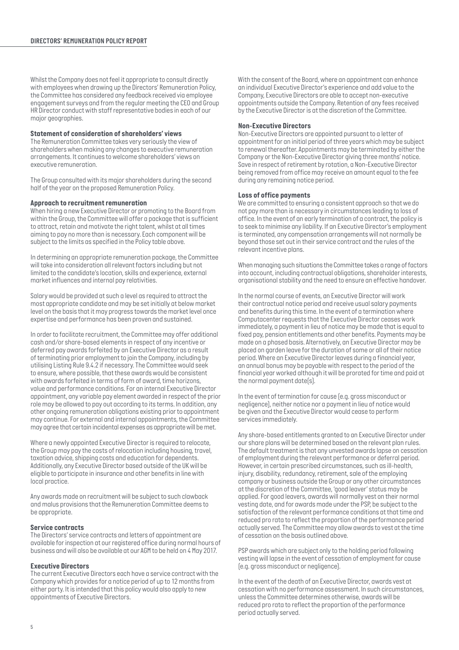*Whilst the Company does not feel it appropriate to consult directly with employees when drawing up the Directors' Remuneration Policy, the Committee has considered any feedback received via employee engagement surveys and from the regular meeting the CEO and Group HR Director conduct with staff representative bodies in each of our major geographies.*

#### *Statement of consideration of shareholders' views*

*The Remuneration Committee takes very seriously the view of shareholders when making any changes to executive remuneration arrangements. It continues to welcome shareholders' views on executive remuneration.*

*The Group consulted with its major shareholders during the second half of the year on the proposed Remuneration Policy.*

#### *Approach to recruitment remuneration*

*When hiring a new Executive Director or promoting to the Board from within the Group, the Committee will offer a package that is sufficient to attract, retain and motivate the right talent, whilst at all times aiming to pay no more than is necessary. Each component will be subject to the limits as specified in the Policy table above.*

*In determining an appropriate remuneration package, the Committee will take into consideration all relevant factors including but not limited to the candidate's location, skills and experience, external market influences and internal pay relativities.* 

*Salary would be provided at such a level as required to attract the most appropriate candidate and may be set initially at below market level on the basis that it may progress towards the market level once expertise and performance has been proven and sustained.* 

*In order to facilitate recruitment, the Committee may offer additional cash and/or share-based elements in respect of any incentive or deferred pay awards forfeited by an Executive Director as a result of terminating prior employment to join the Company, including by utilising Listing Rule 9.4.2 if necessary. The Committee would seek to ensure, where possible, that these awards would be consistent with awards forfeited in terms of form of award, time horizons, value and performance conditions. For an internal Executive Director appointment, any variable pay element awarded in respect of the prior role may be allowed to pay out according to its terms. In addition, any other ongoing remuneration obligations existing prior to appointment may continue. For external and internal appointments, the Committee may agree that certain incidental expenses as appropriate will be met.*

*Where a newly appointed Executive Director is required to relocate, the Group may pay the costs of relocation including housing, travel, taxation advice, shipping costs and education for dependents. Additionally, any Executive Director based outside of the UK will be eligible to participate in insurance and other benefits in line with local practice.*

*Any awards made on recruitment will be subject to such clawback and malus provisions that the Remuneration Committee deems to be appropriate.*

## *Service contracts*

*The Directors' service contracts and letters of appointment are available for inspection at our registered office during normal hours of business and will also be available at our AGM to be held on 4 May 2017.*

#### *Executive Directors*

*The current Executive Directors each have a service contract with the Company which provides for a notice period of up to 12 months from either party. It is intended that this policy would also apply to new appointments of Executive Directors.*

*With the consent of the Board, where an appointment can enhance an individual Executive Director's experience and add value to the Company, Executive Directors are able to accept non-executive appointments outside the Company. Retention of any fees received by the Executive Director is at the discretion of the Committee.*

#### *Non-Executive Directors*

*Non-Executive Directors are appointed pursuant to a letter of appointment for an initial period of three years which may be subject to renewal thereafter. Appointments may be terminated by either the Company or the Non-Executive Director giving three months' notice. Save in respect of retirement by rotation, a Non-Executive Director being removed from office may receive an amount equal to the fee during any remaining notice period.*

#### *Loss of office payments*

*We are committed to ensuring a consistent approach so that we do not pay more than is necessary in circumstances leading to loss of office. In the event of an early termination of a contract, the policy is to seek to minimise any liability. If an Executive Director's employment is terminated, any compensation arrangements will not normally be beyond those set out in their service contract and the rules of the relevant incentive plans.* 

*When managing such situations the Committee takes a range of factors into account, including contractual obligations, shareholder interests, organisational stability and the need to ensure an effective handover.* 

*In the normal course of events, an Executive Director will work their contractual notice period and receive usual salary payments and benefits during this time. In the event of a termination where Computacenter requests that the Executive Director ceases work immediately, a payment in lieu of notice may be made that is equal to fixed pay, pension entitlements and other benefits. Payments may be made on a phased basis. Alternatively, an Executive Director may be placed on garden leave for the duration of some or all of their notice period. Where an Executive Director leaves during a financial year, an annual bonus may be payable with respect to the period of the financial year worked although it will be prorated for time and paid at the normal payment date(s).*

*In the event of termination for cause (e.g. gross misconduct or negligence), neither notice nor a payment in lieu of notice would be given and the Executive Director would cease to perform services immediately.*

*Any share-based entitlements granted to an Executive Director under our share plans will be determined based on the relevant plan rules. The default treatment is that any unvested awards lapse on cessation of employment during the relevant performance or deferral period. However, in certain prescribed circumstances, such as ill-health, injury, disability, redundancy, retirement, sale of the employing company or business outside the Group or any other circumstances at the discretion of the Committee, 'good leaver' status may be applied. For good leavers, awards will normally vest on their normal vesting date, and for awards made under the PSP, be subject to the satisfaction of the relevant performance conditions at that time and reduced pro rata to reflect the proportion of the performance period actually served. The Committee may allow awards to vest at the time of cessation on the basis outlined above.*

PSP awards which are subject only to the holding period following *vesting will lapse in the event of cessation of employment for cause (e.g. gross misconduct or negligence).*

*In the event of the death of an Executive Director, awards vest at cessation with no performance assessment. In such circumstances, unless the Committee determines otherwise, awards will be reduced pro rata to reflect the proportion of the performance period actually served.*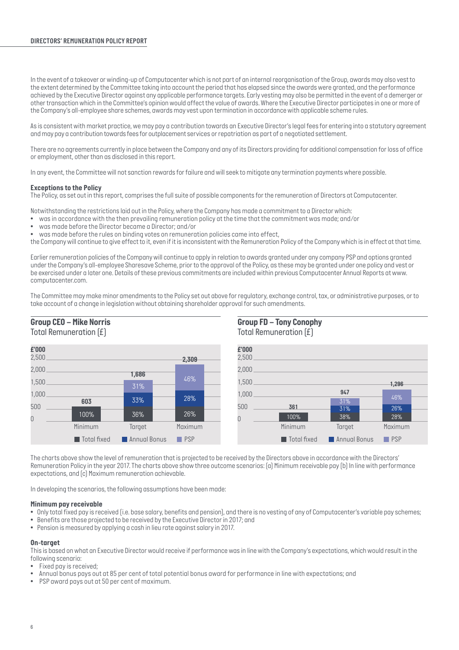## *DIRECTORS' REMUNERATION POLICY REPORT*

*In the event of a takeover or winding-up of Computacenter which is not part of an internal reorganisation of the Group, awards may also vest to the extent determined by the Committee taking into account the period that has elapsed since the awards were granted, and the performance achieved by the Executive Director against any applicable performance targets. Early vesting may also be permitted in the event of a demerger or other transaction which in the Committee's opinion would affect the value of awards. Where the Executive Director participates in one or more of the Company's all-employee share schemes, awards may vest upon termination in accordance with applicable scheme rules.*

*As is consistent with market practice, we may pay a contribution towards an Executive Director's legal fees for entering into a statutory agreement and may pay a contribution towards fees for outplacement services or repatriation as part of a negotiated settlement.*

*There are no agreements currently in place between the Company and any of its Directors providing for additional compensation for loss of office or employment, other than as disclosed in this report.*

*In any event, the Committee will not sanction rewards for failure and will seek to mitigate any termination payments where possible.*

#### *Exceptions to the Policy*

*The Policy, as set out in this report, comprises the full suite of possible components for the remuneration of Directors at Computacenter.* 

*Notwithstanding the restrictions laid out in the Policy, where the Company has made a commitment to a Director which:* 

- *• was in accordance with the then prevailing remuneration policy at the time that the commitment was made; and/or*
- *• was made before the Director became a Director; and/or*
- *• was made before the rules on binding votes on remuneration policies came into effect,*

*the Company will continue to give effect to it, even if it is inconsistent with the Remuneration Policy of the Company which is in effect at that time.* 

*Earlier remuneration policies of the Company will continue to apply in relation to awards granted under any company PSP and options granted under the Company's all-employee Sharesave Scheme, prior to the approval of the Policy, as these may be granted under one policy and vest or be exercised under a later one. Details of these previous commitments are included within previous Computacenter Annual Reports at www. computacenter.com.*

*The Committee may make minor amendments to the Policy set out above for regulatory, exchange control, tax, or administrative purposes, or to take account of a change in legislation without obtaining shareholder approval for such amendments.*

## *Group CEO – Mike Norris Total Remuneration (£)*



# *Group FD – Tony Conophy Total Remuneration (£)*



*The charts above show the level of remuneration that is projected to be received by the Directors above in accordance with the Directors' Remuneration Policy in the year 2017. The charts above show three outcome scenarios: (a) Minimum receivable pay (b) In line with performance expectations, and (c) Maximum remuneration achievable.*

*In developing the scenarios, the following assumptions have been made:*

#### *Minimum pay receivable*

- *• Only total fixed pay is received (i.e. base salary, benefits and pension), and there is no vesting of any of Computacenter's variable pay schemes;*
- *• Benefits are those projected to be received by the Executive Director in 2017; and*
- *• Pension is measured by applying a cash in lieu rate against salary in 2017.*

## *On-target*

*This is based on what an Executive Director would receive if performance was in line with the Company's expectations, which would result in the following scenario:*

- *• Fixed pay is received;*
- *• Annual bonus pays out at 85 per cent of total potential bonus award for performance in line with expectations; and*
- *• PSP award pays out at 50 per cent of maximum.*